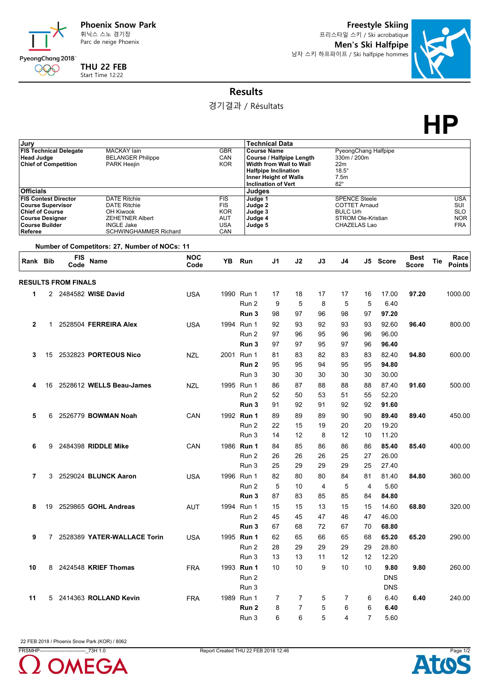

Parc de neige Phoenix

**Freestyle Skiing** 프리스타일 스키 / Ski acrobatique **Men's Ski Halfpipe** 남자 스키 하프파이프 / Ski halfpipe hommes



**Results**

경기결과 / Résultats

**HP**

| Jury                                                                                                                                            |    |                            |                                                                                                                                 |            |                                                                           |                                                     | <b>Technical Data</b>                                                                                                                    |                   |          |                                                                                                       |                |                |              |                                                             |
|-------------------------------------------------------------------------------------------------------------------------------------------------|----|----------------------------|---------------------------------------------------------------------------------------------------------------------------------|------------|---------------------------------------------------------------------------|-----------------------------------------------------|------------------------------------------------------------------------------------------------------------------------------------------|-------------------|----------|-------------------------------------------------------------------------------------------------------|----------------|----------------|--------------|-------------------------------------------------------------|
| <b>FIS Technical Delegate</b><br><b>Head Judge</b><br><b>Chief of Competition</b>                                                               |    |                            | <b>MACKAY lain</b><br><b>BELANGER Philippe</b><br><b>PARK Heejin</b>                                                            |            | <b>GBR</b><br>CAN<br><b>KOR</b>                                           |                                                     | <b>Course Name</b><br>Course / Halfpipe Length<br>Width from Wall to Wall<br><b>Halfpipe Inclination</b><br><b>Inner Height of Walls</b> |                   |          | PyeongChang Halfpipe<br>330m / 200m<br>22m<br>$18.5^\circ$<br>7.5m                                    |                |                |              |                                                             |
| <b>Officials</b>                                                                                                                                |    |                            |                                                                                                                                 |            |                                                                           | Judges                                              | <b>Inclination of Vert</b>                                                                                                               |                   |          | $82^\circ$                                                                                            |                |                |              |                                                             |
| <b>FIS Contest Director</b><br><b>Course Supervisor</b><br><b>Chief of Course</b><br><b>Course Designer</b><br><b>Course Builder</b><br>Referee |    |                            | <b>DATE Ritchie</b><br><b>DATE Ritchie</b><br>OH Kiwook<br><b>ZEHETNER Albert</b><br><b>INGLE Jake</b><br>SCHWINGHAMMER Richard |            | <b>FIS</b><br><b>FIS</b><br><b>KOR</b><br><b>AUT</b><br><b>USA</b><br>CAN | Judge 1<br>Judge 2<br>Judge 3<br>Judge 4<br>Judge 5 |                                                                                                                                          |                   |          | <b>SPENCE Steele</b><br><b>COTTET Arnaud</b><br><b>BULC Urh</b><br>STROM Ole-Kristian<br>CHAZELAS Lao |                |                |              | <b>USA</b><br>SUI<br><b>SLO</b><br><b>NOR</b><br><b>FRA</b> |
| Rank Bib                                                                                                                                        |    | <b>FIS</b>                 | Number of Competitors: 27, Number of NOCs: 11<br>Name                                                                           | <b>NOC</b> | YB                                                                        | Run                                                 | J <sub>1</sub>                                                                                                                           | J2                | J3       | J4                                                                                                    |                | J5 Score       | <b>Best</b>  | Race<br><b>Tie</b>                                          |
|                                                                                                                                                 |    | Code                       |                                                                                                                                 | Code       |                                                                           |                                                     |                                                                                                                                          |                   |          |                                                                                                       |                |                | <b>Score</b> | <b>Points</b>                                               |
|                                                                                                                                                 |    | <b>RESULTS FROM FINALS</b> |                                                                                                                                 |            |                                                                           |                                                     |                                                                                                                                          |                   |          |                                                                                                       |                |                |              |                                                             |
| 1                                                                                                                                               |    |                            | 2 2484582 WISE David                                                                                                            | <b>USA</b> |                                                                           | 1990 Run 1                                          | 17                                                                                                                                       | 18                | 17       | 17                                                                                                    | 16             | 17.00          | 97.20        | 1000.00                                                     |
|                                                                                                                                                 |    |                            |                                                                                                                                 |            |                                                                           | Run 2                                               | 9                                                                                                                                        | 5                 | 8        | 5                                                                                                     | 5              | 6.40           |              |                                                             |
|                                                                                                                                                 |    |                            |                                                                                                                                 |            |                                                                           | Run 3                                               | 98                                                                                                                                       | 97                | 96       | 98                                                                                                    | 97             | 97.20          |              |                                                             |
| $\overline{2}$                                                                                                                                  | 1. |                            | 2528504 FERREIRA Alex                                                                                                           | <b>USA</b> |                                                                           | 1994 Run 1                                          | 92                                                                                                                                       | 93                | 92       | 93                                                                                                    | 93             | 92.60          | 96.40        | 800.00                                                      |
|                                                                                                                                                 |    |                            |                                                                                                                                 |            |                                                                           | Run 2                                               | 97                                                                                                                                       | 96                | 95       | 96                                                                                                    | 96             | 96.00          |              |                                                             |
|                                                                                                                                                 |    |                            |                                                                                                                                 |            |                                                                           | Run 3                                               | 97                                                                                                                                       | 97                | 95       | 97                                                                                                    | 96             | 96.40          |              |                                                             |
| 3                                                                                                                                               | 15 |                            | 2532823 PORTEOUS Nico                                                                                                           | <b>NZL</b> |                                                                           | 2001 Run 1                                          | 81                                                                                                                                       | 83                | 82       | 83                                                                                                    | 83             | 82.40          | 94.80        | 600.00                                                      |
|                                                                                                                                                 |    |                            |                                                                                                                                 |            |                                                                           | Run 2                                               | 95                                                                                                                                       | 95                | 94       | 95                                                                                                    | 95             | 94.80          |              |                                                             |
|                                                                                                                                                 |    |                            |                                                                                                                                 |            |                                                                           | Run 3                                               | 30                                                                                                                                       | 30                | 30       | 30                                                                                                    | 30             | 30.00          |              |                                                             |
| 4                                                                                                                                               | 16 |                            | 2528612 WELLS Beau-James                                                                                                        | <b>NZL</b> |                                                                           | 1995 Run 1                                          | 86                                                                                                                                       | 87                | 88       | 88                                                                                                    | 88             | 87.40          | 91.60        | 500.00                                                      |
|                                                                                                                                                 |    |                            |                                                                                                                                 |            |                                                                           | Run 2                                               | 52                                                                                                                                       | 50                | 53       | 51                                                                                                    | 55             | 52.20          |              |                                                             |
|                                                                                                                                                 |    |                            |                                                                                                                                 |            |                                                                           | Run 3                                               | 91                                                                                                                                       | 92                | 91       | 92                                                                                                    | 92             | 91.60          |              |                                                             |
| 5                                                                                                                                               | 6  |                            | 2526779 <b>BOWMAN Noah</b>                                                                                                      | CAN        |                                                                           | 1992 Run 1                                          | 89                                                                                                                                       | 89                | 89       | 90                                                                                                    | 90             | 89.40          | 89.40        | 450.00                                                      |
|                                                                                                                                                 |    |                            |                                                                                                                                 |            |                                                                           | Run 2                                               | 22                                                                                                                                       | 15                | 19       | 20                                                                                                    | 20             | 19.20          |              |                                                             |
|                                                                                                                                                 |    |                            |                                                                                                                                 |            |                                                                           | Run 3                                               | 14                                                                                                                                       | $12 \overline{ }$ | 8        | 12                                                                                                    | 10             | 11.20          |              |                                                             |
| 6                                                                                                                                               | 9  |                            | 2484398 RIDDLE Mike                                                                                                             | CAN        |                                                                           | 1986 Run 1                                          | 84                                                                                                                                       | 85                | 86       | 86                                                                                                    | 86             | 85.40          | 85.40        | 400.00                                                      |
|                                                                                                                                                 |    |                            |                                                                                                                                 |            |                                                                           | Run 2                                               | 26                                                                                                                                       | 26                | 26       | 25                                                                                                    | 27             | 26.00          |              |                                                             |
|                                                                                                                                                 |    |                            |                                                                                                                                 |            |                                                                           | Run 3                                               | 25                                                                                                                                       | 29                | 29       | 29                                                                                                    | 25             | 27.40          |              |                                                             |
| 7                                                                                                                                               | 3  |                            | 2529024 BLUNCK Aaron                                                                                                            | <b>USA</b> |                                                                           | 1996 Run 1                                          | 82                                                                                                                                       | 80                | 80       | 84                                                                                                    | 81             | 81.40          | 84.80        | 360.00                                                      |
|                                                                                                                                                 |    |                            |                                                                                                                                 |            |                                                                           | Run 2                                               | 5                                                                                                                                        | 10<br>83          | 4        | 5<br>85                                                                                               | 4              | 5.60           |              |                                                             |
|                                                                                                                                                 |    |                            |                                                                                                                                 |            |                                                                           | Run 3                                               | 87                                                                                                                                       |                   | 85       |                                                                                                       | 84             | 84.80          |              |                                                             |
| 8                                                                                                                                               |    |                            | 19 2529865 GOHL Andreas                                                                                                         | AUT        |                                                                           | 1994 Run 1<br>Run 2                                 | 15                                                                                                                                       | 15                | 13       | 15                                                                                                    | 15             | 14.60          | 68.80        | 320.00                                                      |
|                                                                                                                                                 |    |                            |                                                                                                                                 |            |                                                                           | Run 3                                               | 45<br>67                                                                                                                                 | 45<br>68          | 47<br>72 | 46<br>67                                                                                              | 47<br>70       | 46.00<br>68.80 |              |                                                             |
|                                                                                                                                                 |    |                            | 7 2528389 YATER-WALLACE Torin                                                                                                   | <b>USA</b> |                                                                           | 1995 Run 1                                          | 62                                                                                                                                       | 65                | 66       | 65                                                                                                    |                | 65.20          | 65.20        | 290.00                                                      |
| 9                                                                                                                                               |    |                            |                                                                                                                                 |            |                                                                           | Run 2                                               | 28                                                                                                                                       | 29                | 29       | 29                                                                                                    | 68<br>29       | 28.80          |              |                                                             |
|                                                                                                                                                 |    |                            |                                                                                                                                 |            |                                                                           | Run 3                                               | 13                                                                                                                                       | 13                | 11       | 12                                                                                                    | 12             | 12.20          |              |                                                             |
| 10                                                                                                                                              |    |                            | 8 2424548 KRIEF Thomas                                                                                                          | <b>FRA</b> |                                                                           | 1993 Run 1                                          | 10                                                                                                                                       | 10                | 9        | 10                                                                                                    | 10             | 9.80           | 9.80         | 260.00                                                      |
|                                                                                                                                                 |    |                            |                                                                                                                                 |            |                                                                           | Run 2                                               |                                                                                                                                          |                   |          |                                                                                                       |                | <b>DNS</b>     |              |                                                             |
|                                                                                                                                                 |    |                            |                                                                                                                                 |            |                                                                           | Run 3                                               |                                                                                                                                          |                   |          |                                                                                                       |                | <b>DNS</b>     |              |                                                             |
| 11                                                                                                                                              |    |                            | 5 2414363 ROLLAND Kevin                                                                                                         | <b>FRA</b> |                                                                           | 1989 Run 1                                          | 7                                                                                                                                        | 7                 | 5        | 7                                                                                                     | 6              | 6.40           | 6.40         | 240.00                                                      |
|                                                                                                                                                 |    |                            |                                                                                                                                 |            |                                                                           | Run 2                                               | 8                                                                                                                                        | $\overline{7}$    | 5        | 6                                                                                                     | 6              | 6.40           |              |                                                             |
|                                                                                                                                                 |    |                            |                                                                                                                                 |            |                                                                           | Run 3                                               | 6                                                                                                                                        | 6                 | 5        | $\overline{4}$                                                                                        | $\overline{7}$ | 5.60           |              |                                                             |

22 FEB 2018 / Phoenix Snow Park (KOR) / 8062